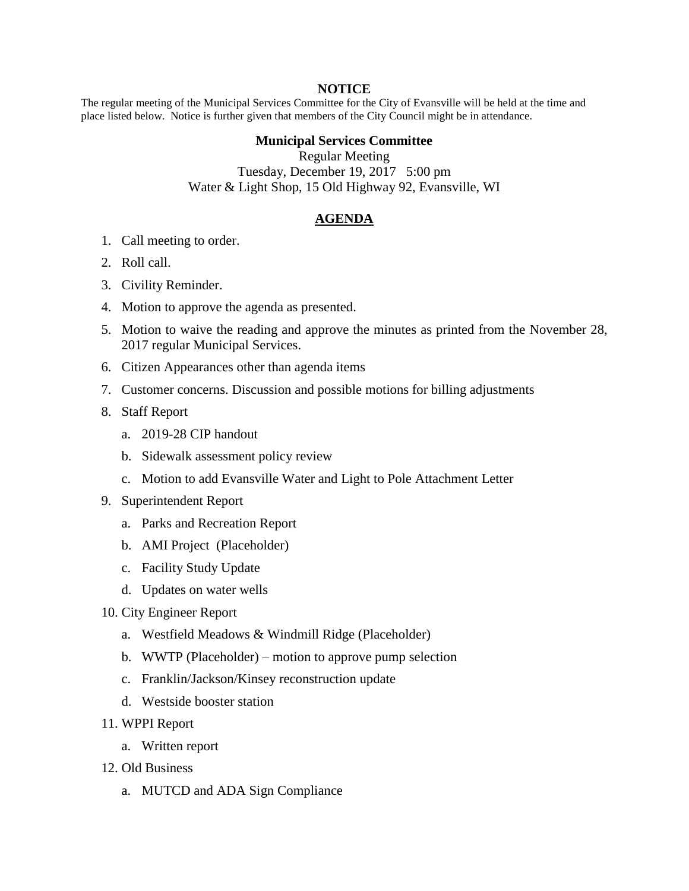## **NOTICE**

The regular meeting of the Municipal Services Committee for the City of Evansville will be held at the time and place listed below. Notice is further given that members of the City Council might be in attendance.

## **Municipal Services Committee**

Regular Meeting Tuesday, December 19, 2017 5:00 pm Water & Light Shop, 15 Old Highway 92, Evansville, WI

## **AGENDA**

- 1. Call meeting to order.
- 2. Roll call.
- 3. Civility Reminder.
- 4. Motion to approve the agenda as presented.
- 5. Motion to waive the reading and approve the minutes as printed from the November 28, 2017 regular Municipal Services.
- 6. Citizen Appearances other than agenda items
- 7. Customer concerns. Discussion and possible motions for billing adjustments
- 8. Staff Report
	- a. 2019-28 CIP handout
	- b. Sidewalk assessment policy review
	- c. Motion to add Evansville Water and Light to Pole Attachment Letter
- 9. Superintendent Report
	- a. Parks and Recreation Report
	- b. AMI Project (Placeholder)
	- c. Facility Study Update
	- d. Updates on water wells
- 10. City Engineer Report
	- a. Westfield Meadows & Windmill Ridge (Placeholder)
	- b. WWTP (Placeholder) motion to approve pump selection
	- c. Franklin/Jackson/Kinsey reconstruction update
	- d. Westside booster station
- 11. WPPI Report
	- a. Written report
- 12. Old Business
	- a. MUTCD and ADA Sign Compliance